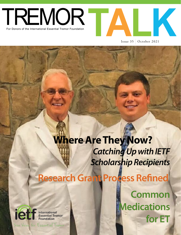



Issue 35 October 2021

# **Research Grant Process Refined Where Are They Now?** *Catching Up with IETF Scholarship Recipients*

ie International<br>Essential Tremor<br>Foundation

**Your Weiss for Essantial Trode** 

**Common Medications for ET**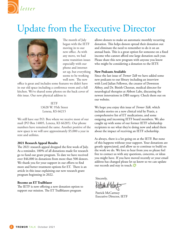

## Update from the Executive Director



The month of July began with the IETF moving in to our new office. As with any move, we had some transition issues especially with our phone and internet set up, but everything seems to be working well now. The new

office is great and includes some features we didn't have in our old space including a conference room and a full kitchen. We've shared some photos on the back cover of this issue. Our new physical address is:

> IETF 13628 W. 95th Street Lenexa, KS 66215

We still have our P.O. Box where we receive most of our mail (PO Box 14005, Lenexa, KS 66285). Our phone numbers have remained the same. Another positive of the new space is we will save approximately \$5,000 a year in rent and utilities.

### **2021 Research Appeal Results**

The 2021 research appeal dropped the first week of July. As a reminder, 100% of all donations made for research go to fund our grant program. To date we have received over \$46,000 in donations from more than 500 donors. We thank you for your support in our efforts to find more and better treatment options for ET. There is an article in this issue explaining our new research grant program beginning in 2022.

## **Become an ET Trailblazer**

The IETF is now offering a new donation option to support our mission. The ET Trailblazers program

allows donors to make an automatic monthly recurring donation. This helps donors spread their donation out and eliminate the need to remember to do it on an annual basis. This is a great option for someone on a fixed income who cannot afford one large donation each year. Please share this new program with anyone you know who might be considering a donation to the IETF.

#### **New Podcasts Available**

Since the last issue of *Tremor Talk* we have added some new podcasts to our library including an interview with Lord Julian Fellowes, the creator of Downton Abbey, and Dr. Binith Cheeran, medical director for neurological therapies at Abbott Labs, discussing the newest innovations in DBS surgery. Check them out on our website.

We hope you enjoy this issue of *Tremor Talk,* which includes stories on a new clinical trial by Praxis, a comprehensive list of ET medications, and some outgoing and incoming IETF board members. We also caught up with some of our former IETF scholarship recipients to see what they're doing now and asked them about the impact of receiving an IETF scholarship.

As always, there is a lot going on at the IETF. But none of this happens without your support. Your donations are greatly appreciated, and allow us to continue to build on the work we do. We love to hear from you so please feel free to contact us with any questions, concerns, or ideas you might have. If you have moved recently or your email address has changed please let us know so we can update our records and stay in touch.

Sincerely,

Patrick McCartney Executive Director, IETF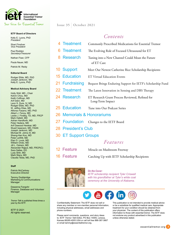

#### **IETF Board of Directors**

Kelly E. Lyons, PhD *President*

Shari Finsilver *Vice President*

Paul Rodden *Secretary/Treasurer*

Nathan Fiser, CFP

Paula Nauer, MD

Patrick M. Reidy

#### **Editorial Board**

Rodger Elble, MD, PhD Joseph Jankovic, MD Kelly E. Lyons, PhD

#### **Medical Advisory Board**

Holly Shill, MD - Chair Kelvin Chou, MD Keith Coffman, MD Arif Dalvi, MD Leon S. Dure, IV, MD Rodger Elble, MD, PhD W. Jeffrey Elias, MD Alfonso Fasano, MD, PhD Albert J. Fenoy, MD Leslie J. Findley, TD, MD, FRCP Mark Hallett, MD Adrian Handforth, MD Peter Hedera, MD Arif Dawood Herekar, MD Stuart Isaacson, MD, FAAN Joseph Jankovic, MD Michael M. Johns III, MD Sheng-Han Kuo, MD Peter LeWitt, MD Elan D. Louis, MD William Ondo, MD Jill L. Ostrem, MD Alexander Rajput, MD, FRCP(C) Sara Salles, DO Ludy Shih, MD Mark Stacy, MD Claudia Testa, MD, PhD

#### **Staff**

Patrick McCartney Executive Director

Tammy Dodderidge Marketing & Communications **Manager** 

Dawanna Fangohr Finance, Database and Volunteer Manager

*Tremor Talk* is published three times a year by the IETF.

IETF © 2021 All rights reserved.

## Issue 35 October 2021

## *Contents*

- 4 Treatment Commonly Prescribed Medications for Essential Tremor
- **6 Treatment** The Evolving Role of Focused Ultrasound for ET
	- Research Tuning into a New Channel Could Mean the Future of ET Care
- 10 Support Meet Our Newest Catherine Rice Scholarship Recipients
	- **Education** ET Virtual Education Events
	- **Fundraising** Bequest Brings Enduring Support for IETF's Scholarship Fund
	- **Treatment** The Latest Innovation in Sensing and DBS Therapy
- 24 Research ET Research Grant Process Reviewed, Refined for Long-Term Impact
- 25 Education Tune into Our Podcast Series
- 26 Memorials & Honorariums
- 27 Foundation Changes to the IETF Board
- 28 President's Club
- 30 ET Support Groups

## *Features*

- 12 Feature Miracle on Mushroom Freeway
	-
- 
- 16 Feature Catching Up with IETF Scholarship Recipients



*On the Cover: IETF scholarship recipient Tyler Criswell with his grandfather at Tyler's white coat ceremony at the University of Alabama.* 



Confidentiality Statement: The IETF does not sell or share any member or non-member personal information, including physical addresses, email addresses and phone numbers.

Please send comments, questions, and story ideas to: IETF *Tremor Talk* Editor, PO Box 14005, Lenexa, Kansas 66285-4005 USA or call toll free 888-387-3667 or email tammy@essentialtremor.org.

This publication is not intended to provide medical advice or be a substitute for qualified medical care. Appropriate treatment for your condition should be obtained from your physician. The content of this publication offers information to those with essential tremor. The IETF does not endorse any product advertised in this publication unless otherwise stated.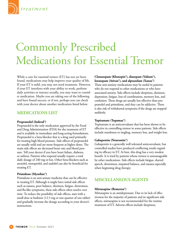

## Commonly Prescribed Medications for Essential Tremor

While a cure for essential tremor (ET) has not yet been found, medications may help improve your quality of life. If your ET is mild, you may not need treatment. However, if your ET interferes with your ability to work, perform daily activities or interact socially, you may want to consider medication. Maybe you are taking one of the following and have found success, or if not, perhaps you can check with your doctor about another medication listed below.

## **MEDICATIONS LIST**

## **Propranolol (Inderal®)**

Propranolol is the only medication approved by the Food and Drug Administration (FDA) for the treatment of ET and is available in immediate and long-acting formulations. Propranolol is a beta-blocker that is a drug used primarily for treating high blood pressure. Side effects of propranolol are usually mild and are more frequent at higher doses. The main side effects are decreased heart rate and blood pressure. Tell your doctor if you have heart failure, diabetes, or asthma. Patients who respond usually require a total daily dosage of 240 mg or less. Other beta-blockers such as atenolol, metoprolol, and nadolol can also be beneficial for treating ET.

## **Primidone (Mysoline®)**

Primidone is an anti-seizure medicine that can be effective in treating ET. Although it might have initial side effects such as nausea, poor balance, dizziness, fatigue, drowsiness, and flu-like symptoms, these side effects often resolve over time. To reduce the possibility of side effects, start with a small dose at bedtime (12.5 mg or one-quarter of one tablet) and gradually increase the dosage according to your doctor's instructions.

## **Clonazepam (Klonopin®), diazepam (Valium®), lorazepam (Ativan®), and alprazolam (Xanax®)**

These anti-anxiety medications may be useful in patients who do not respond to other medications or who have associated anxiety. Side effects include sleepiness, dizziness, depression, fatigue, loss of coordination, memory loss, and confusion. These drugs are usually less effective than propranolol and primidone, and they can be addictive. There is also risk of withdrawal symptoms if the drugs are stopped suddenly.

## **Topiramate (Topamax®)**

Topiramate is an anticonvulsant that has been shown to be effective in controlling tremor in some patients. Side effects include numbness or tingling, memory loss, and weight loss.

### **Gabapentin (Neurontin®)**

Gabapentin is a generally well tolerated anticonvulsant, but controlled studies have produced conflicting results regarding its efficacy in ET. At best, this drug has a very modest benefit. It is tried by patients whose tremor is unmanageable by other medications. Side effects include fatigue, slurred speech, drowsiness, impaired balance, and nausea especially when beginning drug therapy.

## **MISCELLANEOUS AGENTS**

### **Mirtazapine (Remeron®)**

Mirtazapine is an antidepressant. Due to its lack of effectiveness for the majority of patients and its significant side effects, mirtazapine is not recommended for the routine treatment of ET. Adverse effects include sleepiness,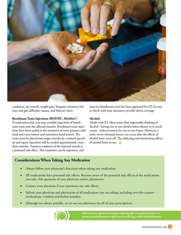

confusion, dry mouth, weight gain, frequent urination, balance and gait difficulty, nausea, and blurred vision.

## **Botulinum Toxin Injections (BOTOX®, Myobloc®)**

If medications fail, you may consider injections of botulinum toxin into the affected muscles. Botulinum toxin injections have been useful in the treatment of some patients with head and voice tremor and sometimes hand tremor. The toxin must be placed into target muscles by a trained specialist and repeat injections will be needed approximately every three months. Transient weakness of the injected muscle is a potential side effect. This treatment can be expensive, and

since no botulinum toxin has been approved for ET, be sure to check with your insurance provider about coverage

## **Alcohol**

Adults with ET often notice that responsible drinking of alcohol - having one or two drinks before dinner or at social events - reduces tremor for one to two hours. However, a more severe rebound tremor can occur after the effects of alcohol have worn off. The addicting and intoxicating effects of alcohol limit its use.

## **Considerations When Taking Any Medication**

- Always follow your physician's directions when taking any medication.
- All medications have potential side effects. Become aware of the potential side effects of the medications you take. Ask questions of your physician and/or pharmacist.
- Contact your physician if you experience any side effects.
- Inform your physician and pharmacist of all medications you are taking, including over-the-counter medications, vitamins and herbal remedies.
- Although not always possible, try to use one pharmacy for all of your prescriptions.



*Learn more about treatment options for essential tremor at www.essentialtremor.org/resources/living-with-et/treatments/*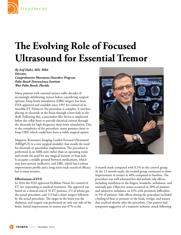

## **The Evolving Role of Focused Ultrasound for Essential Tremor**

*By Arif Dalvi, MD, MBA Director, Comprehensive Movement Disorders Program Palm Beach Neuroscience Institute West Palm Beach, Florida*

Many patients with essential tremor suffer decades of increasingly debilitating tremor before considering surgical options. Deep brain stimulation (DBS) surgery has been FDA-approved and available since 1997 for control of intractable ET. However, the procedure is complex. It involves placing an electrode in the brain through a burr hole in the skull. Following this, a pacemaker-like device is implanted below the collar bone to provide electrical current through the electrode for high-frequency deep brain stimulation. Due to the complexity of the procedure, many patients chose to forgo DBS, which could have been a viable surgical option.

Magnetic Resonance Imaging Guided Focused Ultrasound (MRIgFUS) is a new surgical modality that avoids the need for electrode or pacemaker implantation. The procedure is performed in an MRI suite rather than an operating room and avoids the need for any surgical incision or burr hole. It occupies a middle ground between medications, which may have proven ineffective, and DBS, which has a robust improvement profile and a long-term track record of efficacy but is more invasive.

## **Effectiveness of FUS**

In 2016 the FDA approved ExAblate Neuro for control of ET not responding to medical treatment. The approval was based on a clinical trial of 76 ET patients, 2/3 of whom got the actual procedure, and 1/3 had a sham surgery followed by the actual procedure. The target in the brain was the thalamus, and surgery was performed on only one side of the brain. Initial improvement in tremor was 47% at the



3-month mark compared with 0.1% in the control group. At the 12-month mark, the treated group continued to show improvement in tremor at 40% compared to baseline. The procedure was well tolerated but did include side effects, including numbness in the fingers, headache, imbalance, and unsteady gait. Objective ataxia occurred in 20% of patients and subjective imbalance in 16% with persistent difficulties in 5% of patients. Side effects during the procedure included a feeling of heat or pressure in the head, vertigo, and nausea that resolved shortly after the procedure. One patient had symptoms suggestive of a transient ischemic attack following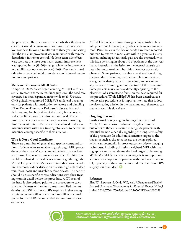the procedure. The question remained whether this beneficial effect would be maintained for longer than one year. We now have follow-up results out to three years indicating that the initial improvement was maintained with minimal degradation in tremor control. No long-term side effects were seen. At the three-year mark, tremor improvement was reported in the 38-50% range, while the improvement in disability was observed to be 43-56%. Previously noted side effects remained mild or moderate and showed resolution in some patients.

## **Medicare Coverage in All 50 States**

In April 2018 Medicare began covering MRIgFUS for essential tremor in some states. Since July 2020 the Medicare coverage has been expanded nationwide to all 50 states. CMS guidelines approved MRIgFUS unilateral thalamotomy for patients with medication refractory and disabling ET or Tremor-Dominant Parkinson's disease. Bilateral thalamotomy (on both sides of the brain) is not covered, and some limitations have also been outlined. Many private carriers in some states have also started covering this treatment option. Patients are best advised to discuss insurance issues with their treating physicians to determine insurance coverage specific to their situation.

## **Who is Not a Good Candidate**

There are a number of general and specific contraindications. Patients who are unable to go through MRI procedures as they have MRI-incompatible heart pacemakers, aneurysm clips, neurostimulators, or other MRI-incompatible implanted medical devices cannot go through the MRIgFUS procedure. Medical contraindications include brain tumors, kidney disease on dialysis, high risk of deep vein thrombosis and unstable cardiac disease. The patient should discuss specific contraindications with their treating team in detail before the procedure. A CT scan of the head is also ordered prior to the procedure to calculate the thickness of the skull; a measure called the skull density ratio (SDR). Low SDRs require a higher energy requirement and different centers have different cut-off points for the SDR recommended to minimize adverse outcomes.

MRIgFUS has been shown through clinical trials to be a safe procedure. However, early side effects are not uncommon. Paresthesias in the face or hands have been reported but tend to resolve in most cases within a year. Gait disturbances, including an unsteady gait, are also reported, with this issue persisting in about 4% of patients at the one-year mark. Extension of the lesion to the internal capsule can result in motor weakness, but this side effect was rarely observed. Some patients may also have side effects during the procedure, including a sensation of heat or pressure, vertigo immediately after the procedure, and occasionally nausea or vomiting around the time of the procedure. Some patients may also have difficulty adjusting to the placement of a stereotactic frame on the head required for the procedure. While MRIgFUS has been described as a noninvasive procedure, it is important to note that it does involve creating a lesion in the thalamus and, therefore, can create irreversible side effects.

## **Ongoing Research**

Further work is ongoing, including clinical trials of MRIgFUS in Parkinson's disease. Insights from the outcomes of these trials can further guide patients with essential tremor, especially regarding the long-term safety of the procedure. In addition, alternative targets to the thalamus such as the zona incerta are being explored, which can potentially improve outcomes. Newer imaging techniques, including diffusion-weighted MRI with tractography, can further define the ideal target for lesioning. While MRIgFUS is a new technology, it is an important addition as an option for patients with moderate to severe ET, especially in those with comorbidities that make DBS surgery less than ideal.

### **Reference:**

Elias WJ, Lipsman N, Ondo WG, et al. A Randomized Trial of Focused Ultrasound Thalamotomy for Essential Tremor. N Engl J Med. 2016;375(8):730-739. doi:10.1056/NEJMoa1600159



*Learn more about DBS and other surgical options for ET at www.essentialtremor.org/resources/living-with-et/treatments/*